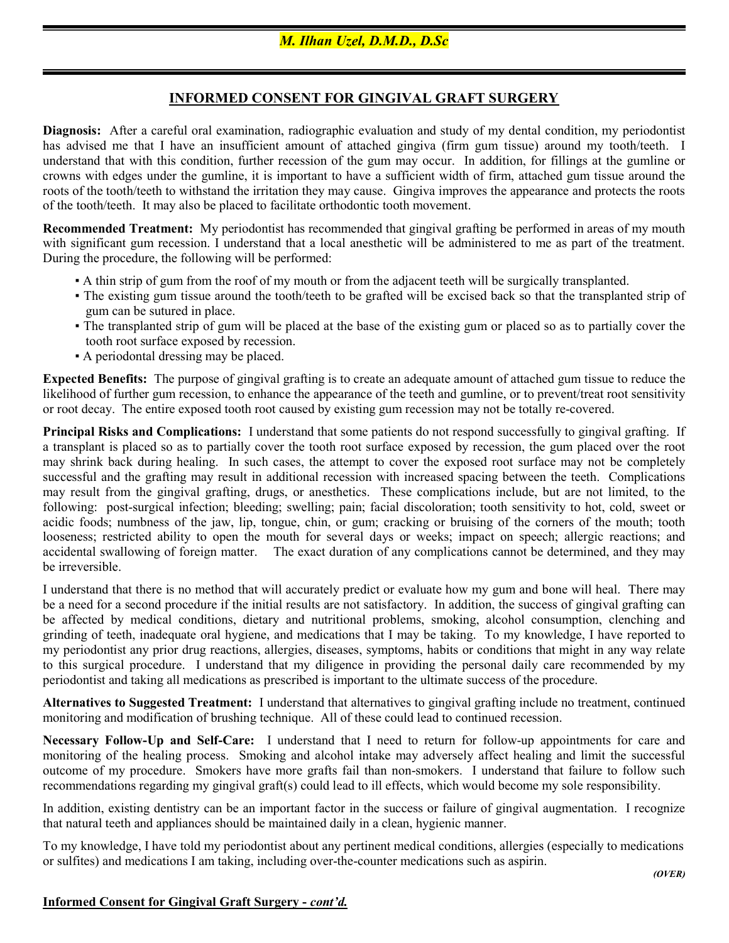## INFORMED CONSENT FOR GINGIVAL GRAFT SURGERY

Diagnosis: After a careful oral examination, radiographic evaluation and study of my dental condition, my periodontist has advised me that I have an insufficient amount of attached gingiva (firm gum tissue) around my tooth/teeth. I understand that with this condition, further recession of the gum may occur. In addition, for fillings at the gumline or crowns with edges under the gumline, it is important to have a sufficient width of firm, attached gum tissue around the roots of the tooth/teeth to withstand the irritation they may cause. Gingiva improves the appearance and protects the roots of the tooth/teeth. It may also be placed to facilitate orthodontic tooth movement.

Recommended Treatment: My periodontist has recommended that gingival grafting be performed in areas of my mouth with significant gum recession. I understand that a local anesthetic will be administered to me as part of the treatment. During the procedure, the following will be performed:

- A thin strip of gum from the roof of my mouth or from the adjacent teeth will be surgically transplanted.
- The existing gum tissue around the tooth/teeth to be grafted will be excised back so that the transplanted strip of gum can be sutured in place.
- The transplanted strip of gum will be placed at the base of the existing gum or placed so as to partially cover the tooth root surface exposed by recession.
- A periodontal dressing may be placed.

Expected Benefits: The purpose of gingival grafting is to create an adequate amount of attached gum tissue to reduce the likelihood of further gum recession, to enhance the appearance of the teeth and gumline, or to prevent/treat root sensitivity or root decay. The entire exposed tooth root caused by existing gum recession may not be totally re-covered.

Principal Risks and Complications: I understand that some patients do not respond successfully to gingival grafting. If a transplant is placed so as to partially cover the tooth root surface exposed by recession, the gum placed over the root may shrink back during healing. In such cases, the attempt to cover the exposed root surface may not be completely successful and the grafting may result in additional recession with increased spacing between the teeth. Complications may result from the gingival grafting, drugs, or anesthetics. These complications include, but are not limited, to the following: post-surgical infection; bleeding; swelling; pain; facial discoloration; tooth sensitivity to hot, cold, sweet or acidic foods; numbness of the jaw, lip, tongue, chin, or gum; cracking or bruising of the corners of the mouth; tooth looseness; restricted ability to open the mouth for several days or weeks; impact on speech; allergic reactions; and accidental swallowing of foreign matter. The exact duration of any complications cannot be determined, and they may be irreversible.

I understand that there is no method that will accurately predict or evaluate how my gum and bone will heal. There may be a need for a second procedure if the initial results are not satisfactory. In addition, the success of gingival grafting can be affected by medical conditions, dietary and nutritional problems, smoking, alcohol consumption, clenching and grinding of teeth, inadequate oral hygiene, and medications that I may be taking. To my knowledge, I have reported to my periodontist any prior drug reactions, allergies, diseases, symptoms, habits or conditions that might in any way relate to this surgical procedure. I understand that my diligence in providing the personal daily care recommended by my periodontist and taking all medications as prescribed is important to the ultimate success of the procedure.

Alternatives to Suggested Treatment: I understand that alternatives to gingival grafting include no treatment, continued monitoring and modification of brushing technique. All of these could lead to continued recession.

Necessary Follow-Up and Self-Care: I understand that I need to return for follow-up appointments for care and monitoring of the healing process. Smoking and alcohol intake may adversely affect healing and limit the successful outcome of my procedure. Smokers have more grafts fail than non-smokers. I understand that failure to follow such recommendations regarding my gingival graft(s) could lead to ill effects, which would become my sole responsibility.

In addition, existing dentistry can be an important factor in the success or failure of gingival augmentation. I recognize that natural teeth and appliances should be maintained daily in a clean, hygienic manner.

To my knowledge, I have told my periodontist about any pertinent medical conditions, allergies (especially to medications or sulfites) and medications I am taking, including over-the-counter medications such as aspirin.

## Informed Consent for Gingival Graft Surgery - cont'd.